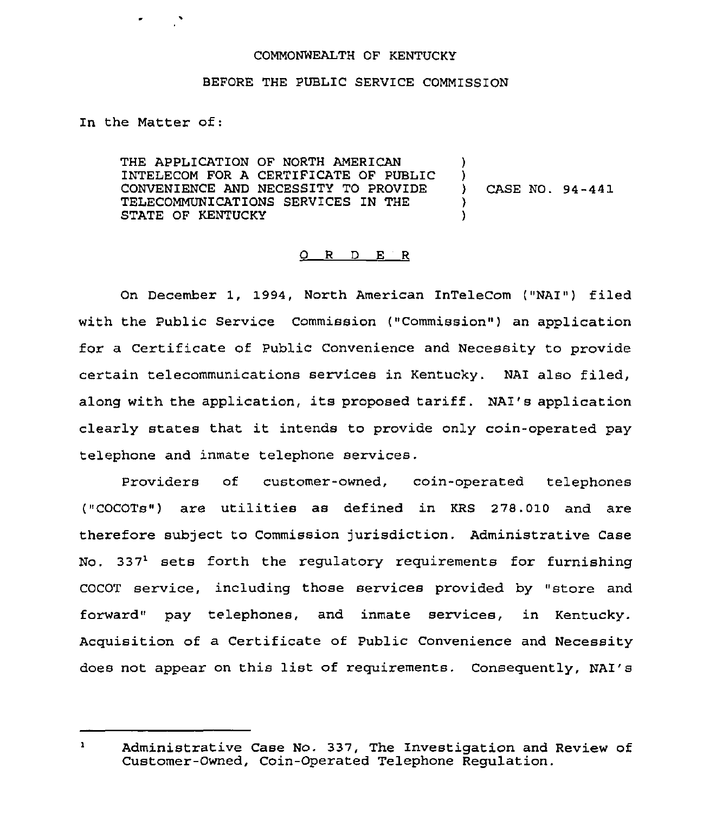## COMMONWEALTH OF KENTUCKY

## BEFORE THE PUBLIC SERVICE COMMISSION

In the Matter of:

THE APPLICATION OF NORTH AMERICAN INTELECOM FOR A CERTIFICATE OF PUBLIC CONVENIENCE AND NECESSITY TO PROVIDE TELECOMMUNICATIONS SERVICES IN THE STATE OF KENTUCKY )  $\big\}$ ) CASE NO. 94-441 ) )

## 0 <sup>R</sup> <sup>D</sup> E <sup>R</sup>

On December 1, 1994, North American InTeleCom ("NAI") filed with the Public Service Commission ("Commission") an application for a Certificate of Public Convenience and Necessity to provide certain telecommunications services in Kentucky. NAI also filed, along with the application, its proposed tariff. NAI's application clearly states that it intends to provide only coin-operated pay telephone and inmate telephone services.

Providers of customer-owned, coin-operated telephones ("COCOTs") are utilities as defined in KRS 278.010 and are therefore subject to Commission jurisdiction. Administrative Case No.  $337<sup>1</sup>$  sets forth the regulatory requirements for furnishing COCOT service, including those services provided by "store and forward" pay telephones, and inmate services, in Kentucky. Acquisition of a Certificate of Public Convenience and Necessity does not appear on this list of requirements. Consequently, NAI's

 $\mathbf{1}$ Administrative Case No. 337, The Investigation and Review of Customer-Owned, Coin-Operated Telephone Regulation.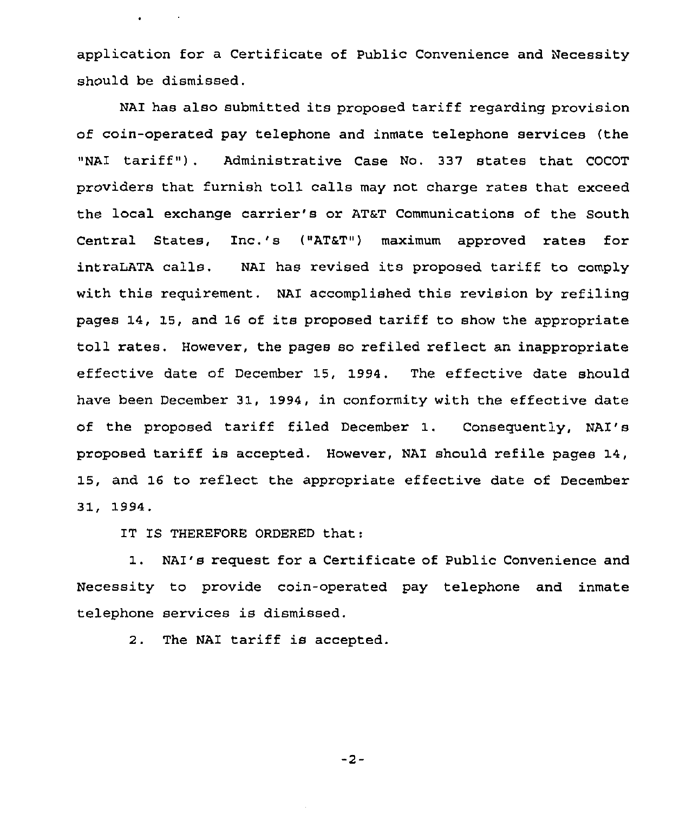application for a Certificate of Public Convenience and Necessity should be dismissed.

NAI has also submitted its proposed tariff regarding provision of coin-operated pay telephone and inmate telephone services (the "NAI tariff" ) . Administrative Case No. 337 states that COCOT providers that furnish toll calls may not charge rates that exceed the local exchange carrier's or ATaT communications of the south Central States, Inc.'s ("AT&T") maximum approved rates for intraLATA calls, NAI has revised its proposed tariff to comply with this requirement. NAI accomplished this revision by refiling pages 14, 15, and 16 of its proposed tariff to show the appropriate toll rates. However, the pages so refiled reflect an inappropriate effective date of December 15, 1994. The effective date should have been December 31, 1994, in conformity with the effective date of the proposed tariff filed December 1. Consequently, NAI's proposed tariff is accepted. However, NAI should refile pages 14, 15, and 16 to reflect the appropriate effective date of December 31, 1994.

IT IS THEREFORE ORDERED that:

 $\bullet$  -  $\bullet$  -  $\bullet$  -  $\bullet$  -  $\bullet$ 

1. NAI's request for <sup>a</sup> Certificate of Public Convenience and Necessity to provide coin-operated pay telephone and inmate telephone services is dismissed.

2. The NAI tariff is accepted.

 $-2-$